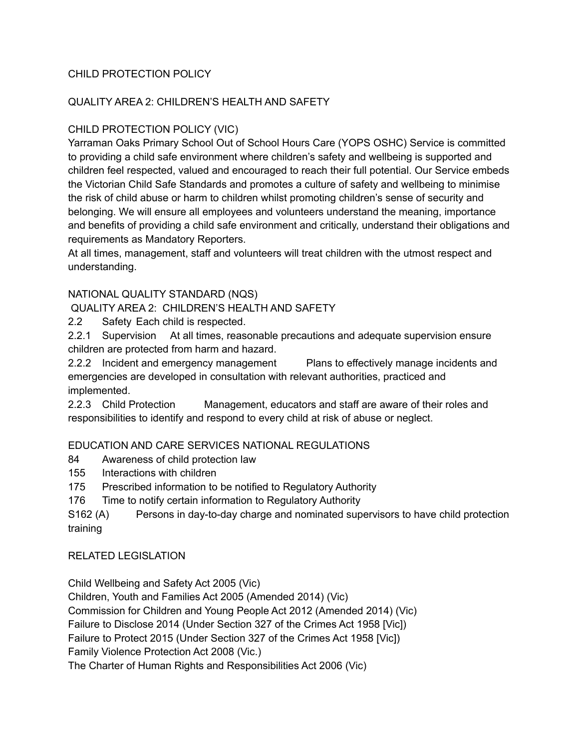## CHILD PROTECTION POLICY

## QUALITY AREA 2: CHILDREN'S HEALTH AND SAFETY

## CHILD PROTECTION POLICY (VIC)

Yarraman Oaks Primary School Out of School Hours Care (YOPS OSHC) Service is committed to providing a child safe environment where children's safety and wellbeing is supported and children feel respected, valued and encouraged to reach their full potential. Our Service embeds the Victorian Child Safe Standards and promotes a culture of safety and wellbeing to minimise the risk of child abuse or harm to children whilst promoting children's sense of security and belonging. We will ensure all employees and volunteers understand the meaning, importance and benefits of providing a child safe environment and critically, understand their obligations and requirements as Mandatory Reporters.

At all times, management, staff and volunteers will treat children with the utmost respect and understanding.

## NATIONAL QUALITY STANDARD (NQS)

QUALITY AREA 2: CHILDREN'S HEALTH AND SAFETY

2.2 Safety Each child is respected.

2.2.1 Supervision At all times, reasonable precautions and adequate supervision ensure children are protected from harm and hazard.

2.2.2 Incident and emergency management Plans to effectively manage incidents and emergencies are developed in consultation with relevant authorities, practiced and implemented.

2.2.3 Child Protection Management, educators and staff are aware of their roles and responsibilities to identify and respond to every child at risk of abuse or neglect.

## EDUCATION AND CARE SERVICES NATIONAL REGULATIONS

- 84 Awareness of child protection law
- 155 Interactions with children
- 175 Prescribed information to be notified to Regulatory Authority
- 176 Time to notify certain information to Regulatory Authority

S162 (A) Persons in day-to-day charge and nominated supervisors to have child protection training

RELATED LEGISLATION

Child Wellbeing and Safety Act 2005 (Vic)

Children, Youth and Families Act 2005 (Amended 2014) (Vic)

Commission for Children and Young People Act 2012 (Amended 2014) (Vic)

Failure to Disclose 2014 (Under Section 327 of the Crimes Act 1958 [Vic])

Failure to Protect 2015 (Under Section 327 of the Crimes Act 1958 [Vic])

Family Violence Protection Act 2008 (Vic.)

The Charter of Human Rights and Responsibilities Act 2006 (Vic)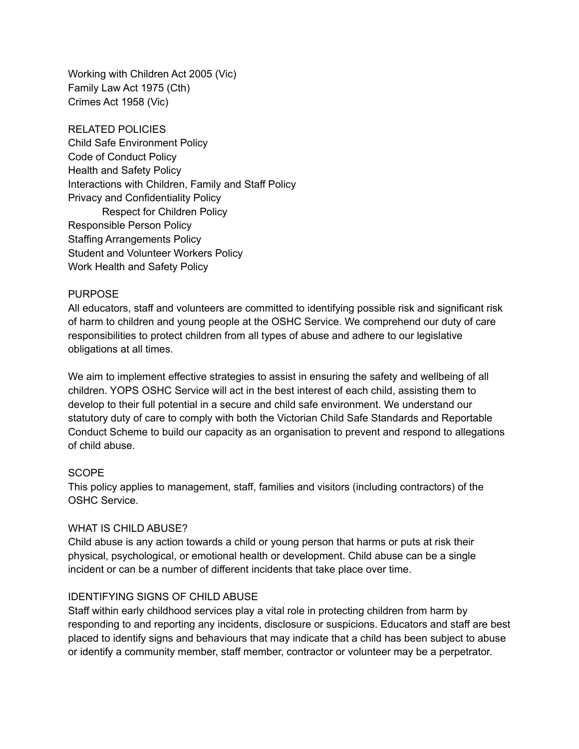Working with Children Act 2005 (Vic) Family Law Act 1975 (Cth) Crimes Act 1958 (Vic)

RELATED POLICIES Child Safe Environment Policy Code of Conduct Policy Health and Safety Policy Interactions with Children, Family and Staff Policy Privacy and Confidentiality Policy Respect for Children Policy Responsible Person Policy Staffing Arrangements Policy Student and Volunteer Workers Policy Work Health and Safety Policy

### PURPOSE

All educators, staff and volunteers are committed to identifying possible risk and significant risk of harm to children and young people at the OSHC Service. We comprehend our duty of care responsibilities to protect children from all types of abuse and adhere to our legislative obligations at all times.

We aim to implement effective strategies to assist in ensuring the safety and wellbeing of all children. YOPS OSHC Service will act in the best interest of each child, assisting them to develop to their full potential in a secure and child safe environment. We understand our statutory duty of care to comply with both the Victorian Child Safe Standards and Reportable Conduct Scheme to build our capacity as an organisation to prevent and respond to allegations of child abuse.

### **SCOPE**

This policy applies to management, staff, families and visitors (including contractors) of the OSHC Service.

### WHAT IS CHILD ABUSE?

Child abuse is any action towards a child or young person that harms or puts at risk their physical, psychological, or emotional health or development. Child abuse can be a single incident or can be a number of different incidents that take place over time.

### IDENTIFYING SIGNS OF CHILD ABUSE

Staff within early childhood services play a vital role in protecting children from harm by responding to and reporting any incidents, disclosure or suspicions. Educators and staff are best placed to identify signs and behaviours that may indicate that a child has been subject to abuse or identify a community member, staff member, contractor or volunteer may be a perpetrator.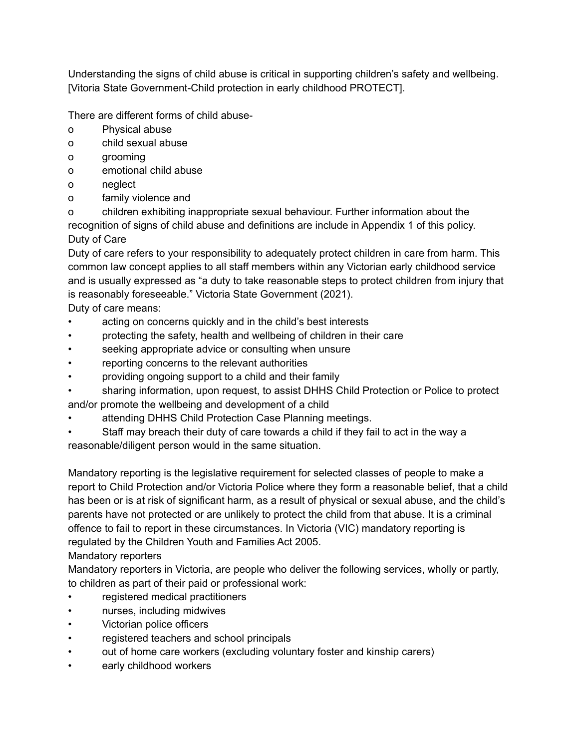Understanding the signs of child abuse is critical in supporting children's safety and wellbeing. [Vitoria State Government-Child protection in early childhood PROTECT].

There are different forms of child abuse-

- o Physical abuse
- o child sexual abuse
- o grooming
- o emotional child abuse
- o neglect
- o family violence and

o children exhibiting inappropriate sexual behaviour. Further information about the recognition of signs of child abuse and definitions are include in Appendix 1 of this policy. Duty of Care

Duty of care refers to your responsibility to adequately protect children in care from harm. This common law concept applies to all staff members within any Victorian early childhood service and is usually expressed as "a duty to take reasonable steps to protect children from injury that is reasonably foreseeable." Victoria State Government (2021). Duty of care means:

acting on concerns quickly and in the child's best interests

- protecting the safety, health and wellbeing of children in their care
- seeking appropriate advice or consulting when unsure
- reporting concerns to the relevant authorities
- providing ongoing support to a child and their family
- sharing information, upon request, to assist DHHS Child Protection or Police to protect and/or promote the wellbeing and development of a child
- attending DHHS Child Protection Case Planning meetings.
- Staff may breach their duty of care towards a child if they fail to act in the way a reasonable/diligent person would in the same situation.

Mandatory reporting is the legislative requirement for selected classes of people to make a report to Child Protection and/or Victoria Police where they form a reasonable belief, that a child has been or is at risk of significant harm, as a result of physical or sexual abuse, and the child's parents have not protected or are unlikely to protect the child from that abuse. It is a criminal offence to fail to report in these circumstances. In Victoria (VIC) mandatory reporting is regulated by the Children Youth and Families Act 2005.

# Mandatory reporters

Mandatory reporters in Victoria, are people who deliver the following services, wholly or partly, to children as part of their paid or professional work:

- registered medical practitioners
- nurses, including midwives
- Victorian police officers
- registered teachers and school principals
- out of home care workers (excluding voluntary foster and kinship carers)
- early childhood workers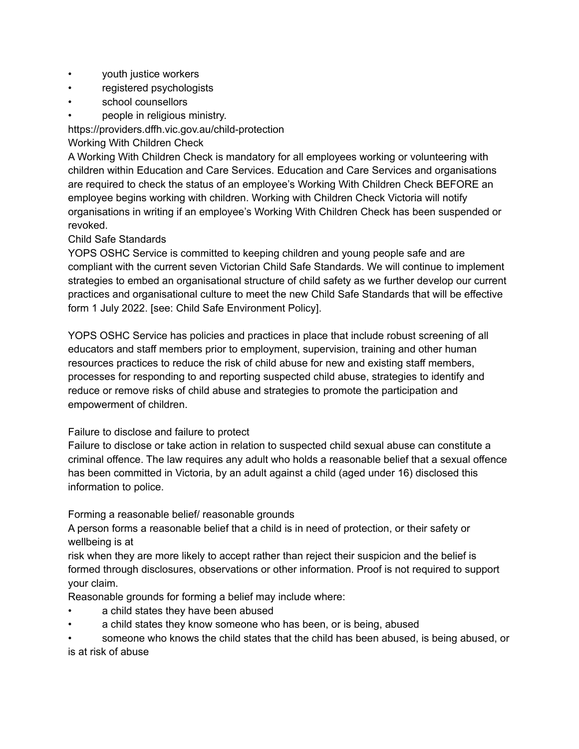- youth justice workers
- registered psychologists
- school counsellors
- people in religious ministry.

https://providers.dffh.vic.gov.au/child-protection

### Working With Children Check

A Working With Children Check is mandatory for all employees working or volunteering with children within Education and Care Services. Education and Care Services and organisations are required to check the status of an employee's Working With Children Check BEFORE an employee begins working with children. Working with Children Check Victoria will notify organisations in writing if an employee's Working With Children Check has been suspended or revoked.

### Child Safe Standards

YOPS OSHC Service is committed to keeping children and young people safe and are compliant with the current seven Victorian Child Safe Standards. We will continue to implement strategies to embed an organisational structure of child safety as we further develop our current practices and organisational culture to meet the new Child Safe Standards that will be effective form 1 July 2022. [see: Child Safe Environment Policy].

YOPS OSHC Service has policies and practices in place that include robust screening of all educators and staff members prior to employment, supervision, training and other human resources practices to reduce the risk of child abuse for new and existing staff members, processes for responding to and reporting suspected child abuse, strategies to identify and reduce or remove risks of child abuse and strategies to promote the participation and empowerment of children.

### Failure to disclose and failure to protect

Failure to disclose or take action in relation to suspected child sexual abuse can constitute a criminal offence. The law requires any adult who holds a reasonable belief that a sexual offence has been committed in Victoria, by an adult against a child (aged under 16) disclosed this information to police.

### Forming a reasonable belief/ reasonable grounds

A person forms a reasonable belief that a child is in need of protection, or their safety or wellbeing is at

risk when they are more likely to accept rather than reject their suspicion and the belief is formed through disclosures, observations or other information. Proof is not required to support your claim.

Reasonable grounds for forming a belief may include where:

- a child states they have been abused
- a child states they know someone who has been, or is being, abused
- someone who knows the child states that the child has been abused, is being abused, or is at risk of abuse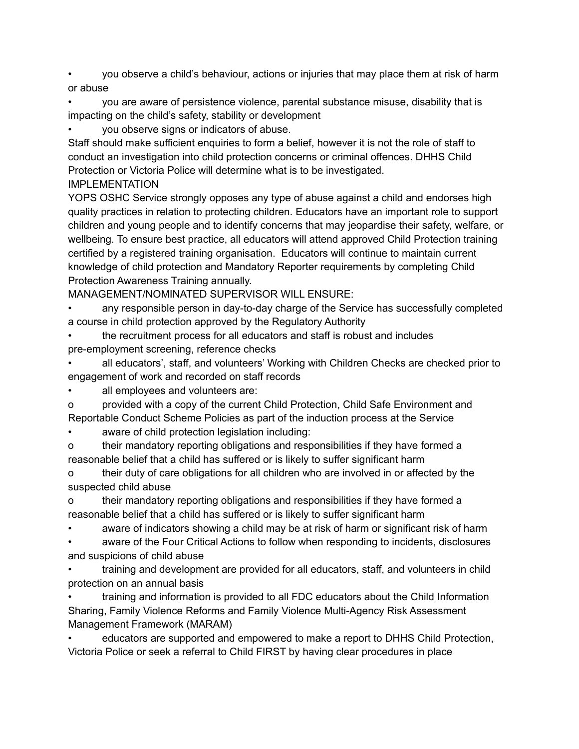• you observe a child's behaviour, actions or injuries that may place them at risk of harm or abuse

• you are aware of persistence violence, parental substance misuse, disability that is impacting on the child's safety, stability or development

• you observe signs or indicators of abuse.

Staff should make sufficient enquiries to form a belief, however it is not the role of staff to conduct an investigation into child protection concerns or criminal offences. DHHS Child Protection or Victoria Police will determine what is to be investigated.

IMPLEMENTATION

YOPS OSHC Service strongly opposes any type of abuse against a child and endorses high quality practices in relation to protecting children. Educators have an important role to support children and young people and to identify concerns that may jeopardise their safety, welfare, or wellbeing. To ensure best practice, all educators will attend approved Child Protection training certified by a registered training organisation. Educators will continue to maintain current knowledge of child protection and Mandatory Reporter requirements by completing Child Protection Awareness Training annually.

MANAGEMENT/NOMINATED SUPERVISOR WILL ENSURE:

• any responsible person in day-to-day charge of the Service has successfully completed a course in child protection approved by the Regulatory Authority

• the recruitment process for all educators and staff is robust and includes pre-employment screening, reference checks

• all educators', staff, and volunteers' Working with Children Checks are checked prior to engagement of work and recorded on staff records

all employees and volunteers are:

o provided with a copy of the current Child Protection, Child Safe Environment and Reportable Conduct Scheme Policies as part of the induction process at the Service

aware of child protection legislation including:

o their mandatory reporting obligations and responsibilities if they have formed a reasonable belief that a child has suffered or is likely to suffer significant harm

o their duty of care obligations for all children who are involved in or affected by the suspected child abuse

o their mandatory reporting obligations and responsibilities if they have formed a reasonable belief that a child has suffered or is likely to suffer significant harm

aware of indicators showing a child may be at risk of harm or significant risk of harm

• aware of the Four Critical Actions to follow when responding to incidents, disclosures and suspicions of child abuse

• training and development are provided for all educators, staff, and volunteers in child protection on an annual basis

• training and information is provided to all FDC educators about the Child Information Sharing, Family Violence Reforms and Family Violence Multi-Agency Risk Assessment Management Framework (MARAM)

• educators are supported and empowered to make a report to DHHS Child Protection, Victoria Police or seek a referral to Child FIRST by having clear procedures in place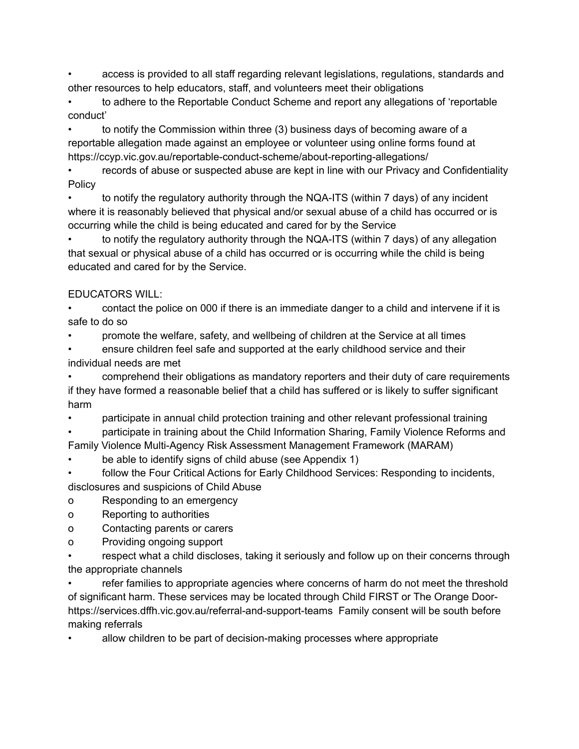• access is provided to all staff regarding relevant legislations, regulations, standards and other resources to help educators, staff, and volunteers meet their obligations

• to adhere to the Reportable Conduct Scheme and report any allegations of 'reportable conduct'

• to notify the Commission within three (3) business days of becoming aware of a reportable allegation made against an employee or volunteer using online forms found at https://ccyp.vic.gov.au/reportable-conduct-scheme/about-reporting-allegations/

records of abuse or suspected abuse are kept in line with our Privacy and Confidentiality Policy

• to notify the regulatory authority through the NQA-ITS (within 7 days) of any incident where it is reasonably believed that physical and/or sexual abuse of a child has occurred or is occurring while the child is being educated and cared for by the Service

• to notify the regulatory authority through the NQA-ITS (within 7 days) of any allegation that sexual or physical abuse of a child has occurred or is occurring while the child is being educated and cared for by the Service.

## EDUCATORS WILL:

• contact the police on 000 if there is an immediate danger to a child and intervene if it is safe to do so

• promote the welfare, safety, and wellbeing of children at the Service at all times

• ensure children feel safe and supported at the early childhood service and their individual needs are met

• comprehend their obligations as mandatory reporters and their duty of care requirements if they have formed a reasonable belief that a child has suffered or is likely to suffer significant harm

• participate in annual child protection training and other relevant professional training

• participate in training about the Child Information Sharing, Family Violence Reforms and

Family Violence Multi-Agency Risk Assessment Management Framework (MARAM)

be able to identify signs of child abuse (see Appendix 1)

follow the Four Critical Actions for Early Childhood Services: Responding to incidents, disclosures and suspicions of Child Abuse

o Responding to an emergency

o Reporting to authorities

o Contacting parents or carers

o Providing ongoing support

respect what a child discloses, taking it seriously and follow up on their concerns through the appropriate channels

• refer families to appropriate agencies where concerns of harm do not meet the threshold of significant harm. These services may be located through Child FIRST or The Orange Doorhttps://services.dffh.vic.gov.au/referral-and-support-teams Family consent will be south before making referrals

• allow children to be part of decision-making processes where appropriate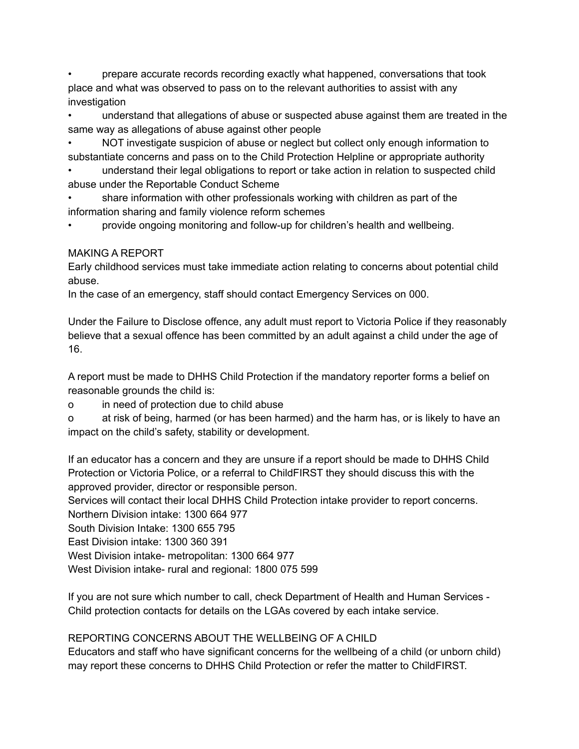• prepare accurate records recording exactly what happened, conversations that took place and what was observed to pass on to the relevant authorities to assist with any investigation

• understand that allegations of abuse or suspected abuse against them are treated in the same way as allegations of abuse against other people

• NOT investigate suspicion of abuse or neglect but collect only enough information to substantiate concerns and pass on to the Child Protection Helpline or appropriate authority

• understand their legal obligations to report or take action in relation to suspected child abuse under the Reportable Conduct Scheme

• share information with other professionals working with children as part of the information sharing and family violence reform schemes

• provide ongoing monitoring and follow-up for children's health and wellbeing.

MAKING A REPORT

Early childhood services must take immediate action relating to concerns about potential child abuse.

In the case of an emergency, staff should contact Emergency Services on 000.

Under the Failure to Disclose offence, any adult must report to Victoria Police if they reasonably believe that a sexual offence has been committed by an adult against a child under the age of 16.

A report must be made to DHHS Child Protection if the mandatory reporter forms a belief on reasonable grounds the child is:

o in need of protection due to child abuse

o at risk of being, harmed (or has been harmed) and the harm has, or is likely to have an impact on the child's safety, stability or development.

If an educator has a concern and they are unsure if a report should be made to DHHS Child Protection or Victoria Police, or a referral to ChildFIRST they should discuss this with the approved provider, director or responsible person.

Services will contact their local DHHS Child Protection intake provider to report concerns. Northern Division intake: 1300 664 977

South Division Intake: 1300 655 795

East Division intake: 1300 360 391

West Division intake- metropolitan: 1300 664 977

West Division intake- rural and regional: 1800 075 599

If you are not sure which number to call, check Department of Health and Human Services - Child protection contacts for details on the LGAs covered by each intake service.

REPORTING CONCERNS ABOUT THE WELLBEING OF A CHILD

Educators and staff who have significant concerns for the wellbeing of a child (or unborn child) may report these concerns to DHHS Child Protection or refer the matter to ChildFIRST.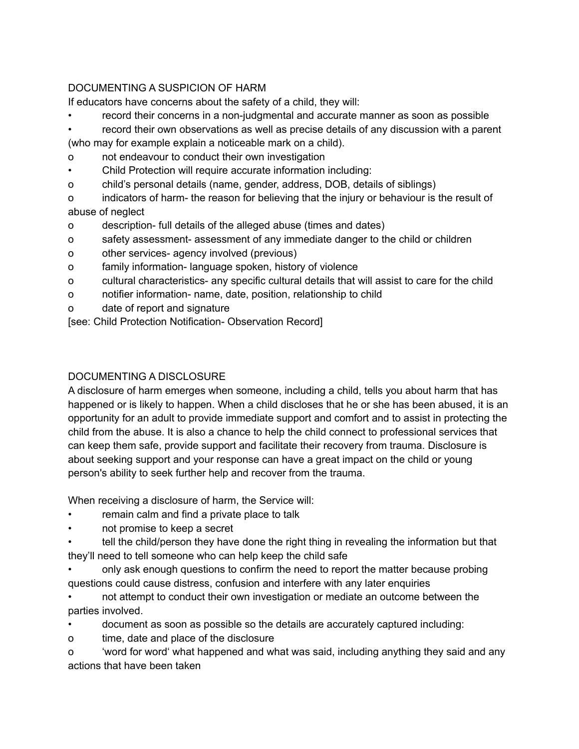## DOCUMENTING A SUSPICION OF HARM

If educators have concerns about the safety of a child, they will:

- record their concerns in a non-judgmental and accurate manner as soon as possible
- record their own observations as well as precise details of any discussion with a parent

(who may for example explain a noticeable mark on a child).

- o not endeavour to conduct their own investigation
- Child Protection will require accurate information including:
- o child's personal details (name, gender, address, DOB, details of siblings)
- o indicators of harm- the reason for believing that the injury or behaviour is the result of abuse of neglect
- o description- full details of the alleged abuse (times and dates)
- o safety assessment- assessment of any immediate danger to the child or children
- o other services- agency involved (previous)
- o family information- language spoken, history of violence
- o cultural characteristics- any specific cultural details that will assist to care for the child
- o notifier information- name, date, position, relationship to child
- o date of report and signature

[see: Child Protection Notification- Observation Record]

## DOCUMENTING A DISCLOSURE

A disclosure of harm emerges when someone, including a child, tells you about harm that has happened or is likely to happen. When a child discloses that he or she has been abused, it is an opportunity for an adult to provide immediate support and comfort and to assist in protecting the child from the abuse. It is also a chance to help the child connect to professional services that can keep them safe, provide support and facilitate their recovery from trauma. Disclosure is about seeking support and your response can have a great impact on the child or young person's ability to seek further help and recover from the trauma.

When receiving a disclosure of harm, the Service will:

- remain calm and find a private place to talk
- not promise to keep a secret
- tell the child/person they have done the right thing in revealing the information but that they'll need to tell someone who can help keep the child safe
- only ask enough questions to confirm the need to report the matter because probing questions could cause distress, confusion and interfere with any later enquiries
- not attempt to conduct their own investigation or mediate an outcome between the parties involved.
- document as soon as possible so the details are accurately captured including:
- o time, date and place of the disclosure
- o 'word for word' what happened and what was said, including anything they said and any actions that have been taken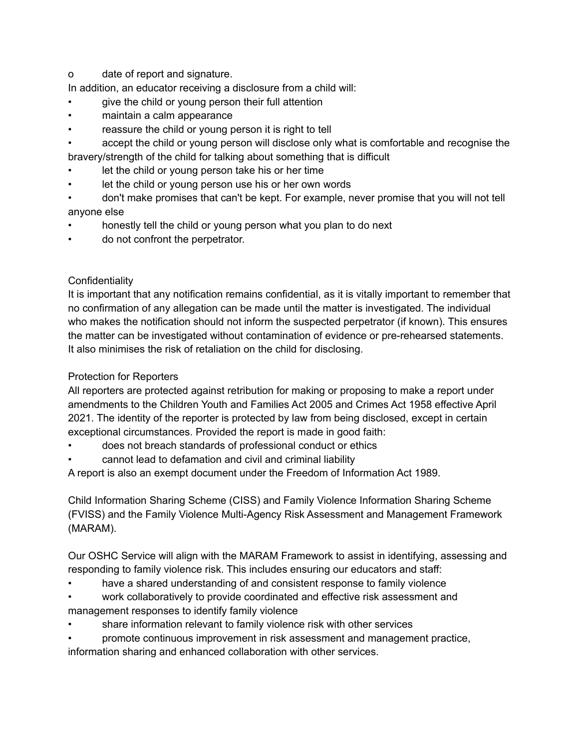o date of report and signature.

In addition, an educator receiving a disclosure from a child will:

- give the child or young person their full attention
- maintain a calm appearance
- reassure the child or young person it is right to tell
- accept the child or young person will disclose only what is comfortable and recognise the bravery/strength of the child for talking about something that is difficult
- let the child or young person take his or her time
- let the child or young person use his or her own words
- don't make promises that can't be kept. For example, never promise that you will not tell anyone else
- honestly tell the child or young person what you plan to do next
- do not confront the perpetrator.

### **Confidentiality**

It is important that any notification remains confidential, as it is vitally important to remember that no confirmation of any allegation can be made until the matter is investigated. The individual who makes the notification should not inform the suspected perpetrator (if known). This ensures the matter can be investigated without contamination of evidence or pre-rehearsed statements. It also minimises the risk of retaliation on the child for disclosing.

### Protection for Reporters

All reporters are protected against retribution for making or proposing to make a report under amendments to the Children Youth and Families Act 2005 and Crimes Act 1958 effective April 2021. The identity of the reporter is protected by law from being disclosed, except in certain exceptional circumstances. Provided the report is made in good faith:

- does not breach standards of professional conduct or ethics
- cannot lead to defamation and civil and criminal liability

A report is also an exempt document under the Freedom of Information Act 1989.

Child Information Sharing Scheme (CISS) and Family Violence Information Sharing Scheme (FVISS) and the Family Violence Multi-Agency Risk Assessment and Management Framework (MARAM).

Our OSHC Service will align with the MARAM Framework to assist in identifying, assessing and responding to family violence risk. This includes ensuring our educators and staff:

- have a shared understanding of and consistent response to family violence
- work collaboratively to provide coordinated and effective risk assessment and management responses to identify family violence
- share information relevant to family violence risk with other services
- promote continuous improvement in risk assessment and management practice,

information sharing and enhanced collaboration with other services.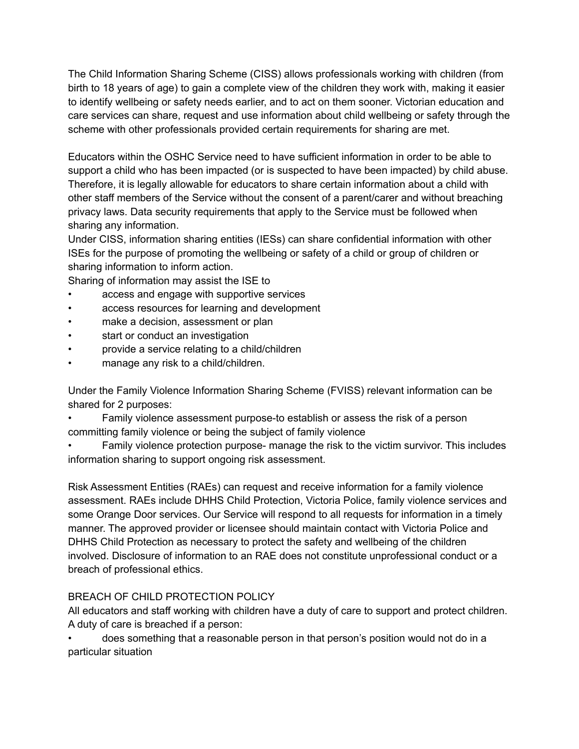The Child Information Sharing Scheme (CISS) allows professionals working with children (from birth to 18 years of age) to gain a complete view of the children they work with, making it easier to identify wellbeing or safety needs earlier, and to act on them sooner. Victorian education and care services can share, request and use information about child wellbeing or safety through the scheme with other professionals provided certain requirements for sharing are met.

Educators within the OSHC Service need to have sufficient information in order to be able to support a child who has been impacted (or is suspected to have been impacted) by child abuse. Therefore, it is legally allowable for educators to share certain information about a child with other staff members of the Service without the consent of a parent/carer and without breaching privacy laws. Data security requirements that apply to the Service must be followed when sharing any information.

Under CISS, information sharing entities (IESs) can share confidential information with other ISEs for the purpose of promoting the wellbeing or safety of a child or group of children or sharing information to inform action.

Sharing of information may assist the ISE to

- access and engage with supportive services
- access resources for learning and development
- make a decision, assessment or plan
- start or conduct an investigation
- provide a service relating to a child/children
- manage any risk to a child/children.

Under the Family Violence Information Sharing Scheme (FVISS) relevant information can be shared for 2 purposes:

- Family violence assessment purpose-to establish or assess the risk of a person committing family violence or being the subject of family violence
- Family violence protection purpose- manage the risk to the victim survivor. This includes information sharing to support ongoing risk assessment.

Risk Assessment Entities (RAEs) can request and receive information for a family violence assessment. RAEs include DHHS Child Protection, Victoria Police, family violence services and some Orange Door services. Our Service will respond to all requests for information in a timely manner. The approved provider or licensee should maintain contact with Victoria Police and DHHS Child Protection as necessary to protect the safety and wellbeing of the children involved. Disclosure of information to an RAE does not constitute unprofessional conduct or a breach of professional ethics.

## BREACH OF CHILD PROTECTION POLICY

All educators and staff working with children have a duty of care to support and protect children. A duty of care is breached if a person:

• does something that a reasonable person in that person's position would not do in a particular situation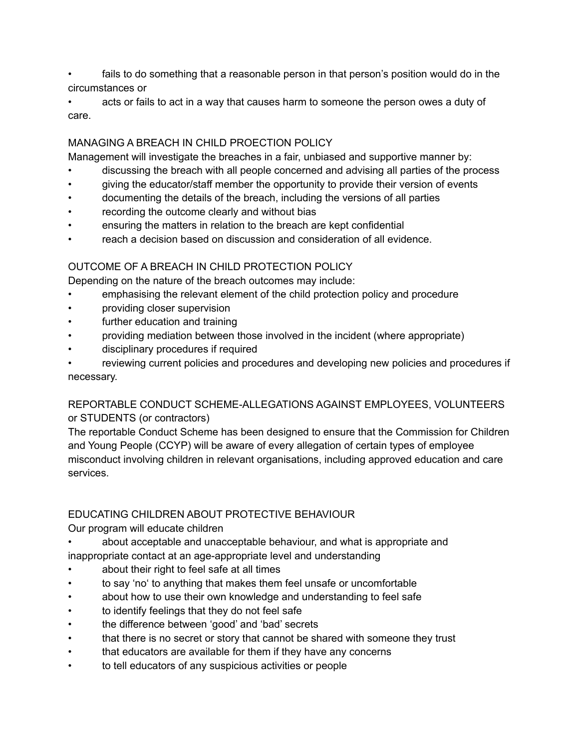fails to do something that a reasonable person in that person's position would do in the circumstances or

• acts or fails to act in a way that causes harm to someone the person owes a duty of care.

## MANAGING A BREACH IN CHILD PROECTION POLICY

Management will investigate the breaches in a fair, unbiased and supportive manner by:

- discussing the breach with all people concerned and advising all parties of the process
- giving the educator/staff member the opportunity to provide their version of events
- documenting the details of the breach, including the versions of all parties
- recording the outcome clearly and without bias
- ensuring the matters in relation to the breach are kept confidential
- reach a decision based on discussion and consideration of all evidence.

## OUTCOME OF A BREACH IN CHILD PROTECTION POLICY

Depending on the nature of the breach outcomes may include:

- emphasising the relevant element of the child protection policy and procedure
- providing closer supervision
- further education and training
- providing mediation between those involved in the incident (where appropriate)
- disciplinary procedures if required

reviewing current policies and procedures and developing new policies and procedures if necessary.

## REPORTABLE CONDUCT SCHEME-ALLEGATIONS AGAINST EMPLOYEES, VOLUNTEERS or STUDENTS (or contractors)

The reportable Conduct Scheme has been designed to ensure that the Commission for Children and Young People (CCYP) will be aware of every allegation of certain types of employee misconduct involving children in relevant organisations, including approved education and care services.

## EDUCATING CHILDREN ABOUT PROTECTIVE BEHAVIOUR

Our program will educate children

- about acceptable and unacceptable behaviour, and what is appropriate and inappropriate contact at an age-appropriate level and understanding
- about their right to feel safe at all times
- to say 'no' to anything that makes them feel unsafe or uncomfortable
- about how to use their own knowledge and understanding to feel safe
- to identify feelings that they do not feel safe
- the difference between 'good' and 'bad' secrets
- that there is no secret or story that cannot be shared with someone they trust
- that educators are available for them if they have any concerns
- to tell educators of any suspicious activities or people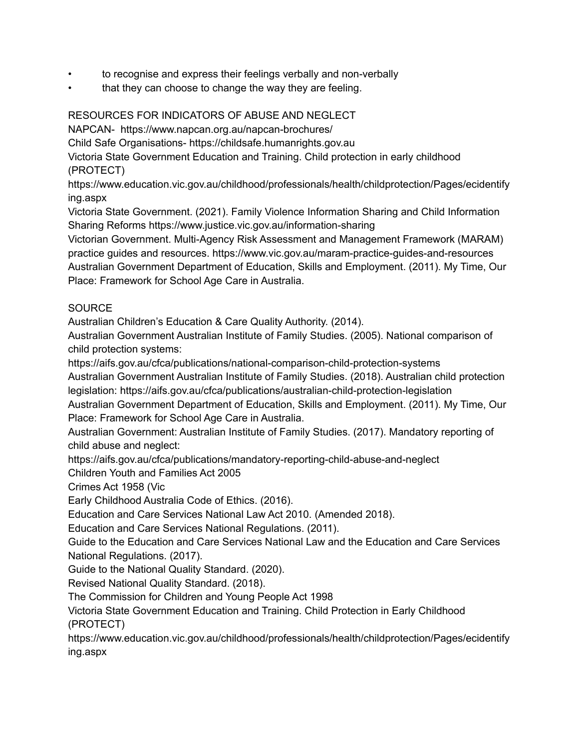- to recognise and express their feelings verbally and non-verbally
- that they can choose to change the way they are feeling.

## RESOURCES FOR INDICATORS OF ABUSE AND NEGLECT

NAPCAN- https://www.napcan.org.au/napcan-brochures/

Child Safe Organisations- https://childsafe.humanrights.gov.au

Victoria State Government Education and Training. Child protection in early childhood (PROTECT)

https://www.education.vic.gov.au/childhood/professionals/health/childprotection/Pages/ecidentify ing.aspx

Victoria State Government. (2021). Family Violence Information Sharing and Child Information Sharing Reforms https://www.justice.vic.gov.au/information-sharing

Victorian Government. Multi-Agency Risk Assessment and Management Framework (MARAM) practice guides and resources. https://www.vic.gov.au/maram-practice-guides-and-resources Australian Government Department of Education, Skills and Employment. (2011). My Time, Our Place: Framework for School Age Care in Australia.

## **SOURCE**

Australian Children's Education & Care Quality Authority. (2014).

Australian Government Australian Institute of Family Studies. (2005). National comparison of child protection systems:

https://aifs.gov.au/cfca/publications/national-comparison-child-protection-systems

Australian Government Australian Institute of Family Studies. (2018). Australian child protection legislation: https://aifs.gov.au/cfca/publications/australian-child-protection-legislation

Australian Government Department of Education, Skills and Employment. (2011). My Time, Our Place: Framework for School Age Care in Australia.

Australian Government: Australian Institute of Family Studies. (2017). Mandatory reporting of child abuse and neglect:

https://aifs.gov.au/cfca/publications/mandatory-reporting-child-abuse-and-neglect

Children Youth and Families Act 2005

Crimes Act 1958 (Vic

Early Childhood Australia Code of Ethics. (2016).

Education and Care Services National Law Act 2010. (Amended 2018).

Education and Care Services National Regulations. (2011).

Guide to the Education and Care Services National Law and the Education and Care Services National Regulations. (2017).

Guide to the National Quality Standard. (2020).

Revised National Quality Standard. (2018).

The Commission for Children and Young People Act 1998

Victoria State Government Education and Training. Child Protection in Early Childhood (PROTECT)

https://www.education.vic.gov.au/childhood/professionals/health/childprotection/Pages/ecidentify ing.aspx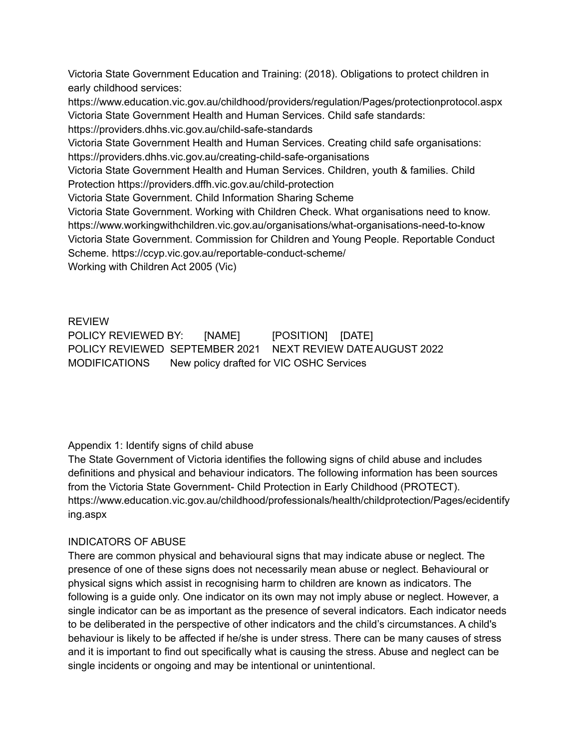Victoria State Government Education and Training: (2018). Obligations to protect children in early childhood services:

https://www.education.vic.gov.au/childhood/providers/regulation/Pages/protectionprotocol.aspx Victoria State Government Health and Human Services. Child safe standards:

https://providers.dhhs.vic.gov.au/child-safe-standards

Victoria State Government Health and Human Services. Creating child safe organisations: https://providers.dhhs.vic.gov.au/creating-child-safe-organisations

Victoria State Government Health and Human Services. Children, youth & families. Child Protection https://providers.dffh.vic.gov.au/child-protection

Victoria State Government. Child Information Sharing Scheme

Victoria State Government. Working with Children Check. What organisations need to know. https://www.workingwithchildren.vic.gov.au/organisations/what-organisations-need-to-know Victoria State Government. Commission for Children and Young People. Reportable Conduct Scheme. https://ccyp.vic.gov.au/reportable-conduct-scheme/ Working with Children Act 2005 (Vic)

REVIEW POLICY REVIEWED BY: [NAME] [POSITION] [DATE] POLICY REVIEWED SEPTEMBER 2021 NEXT REVIEW DATEAUGUST 2022 MODIFICATIONS New policy drafted for VIC OSHC Services

## Appendix 1: Identify signs of child abuse

The State Government of Victoria identifies the following signs of child abuse and includes definitions and physical and behaviour indicators. The following information has been sources from the Victoria State Government- Child Protection in Early Childhood (PROTECT). https://www.education.vic.gov.au/childhood/professionals/health/childprotection/Pages/ecidentify ing.aspx

## INDICATORS OF ABUSE

There are common physical and behavioural signs that may indicate abuse or neglect. The presence of one of these signs does not necessarily mean abuse or neglect. Behavioural or physical signs which assist in recognising harm to children are known as indicators. The following is a guide only. One indicator on its own may not imply abuse or neglect. However, a single indicator can be as important as the presence of several indicators. Each indicator needs to be deliberated in the perspective of other indicators and the child's circumstances. A child's behaviour is likely to be affected if he/she is under stress. There can be many causes of stress and it is important to find out specifically what is causing the stress. Abuse and neglect can be single incidents or ongoing and may be intentional or unintentional.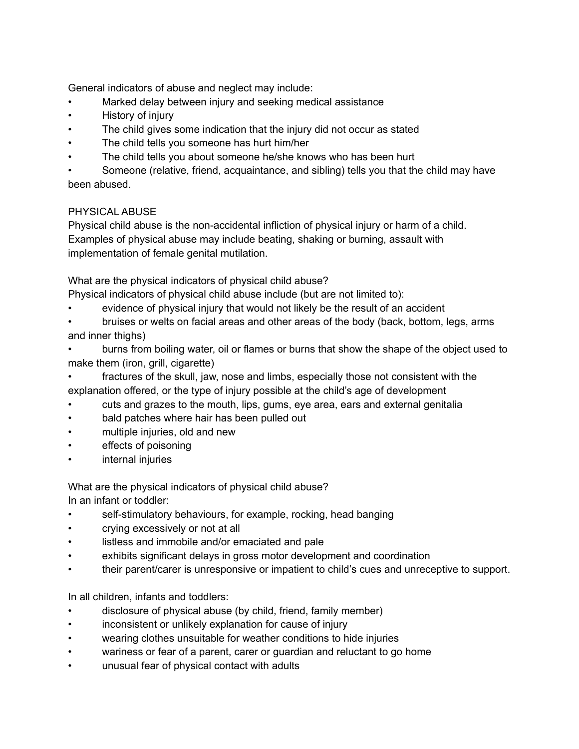General indicators of abuse and neglect may include:

- Marked delay between injury and seeking medical assistance
- History of injury
- The child gives some indication that the injury did not occur as stated
- The child tells you someone has hurt him/her
- The child tells you about someone he/she knows who has been hurt

• Someone (relative, friend, acquaintance, and sibling) tells you that the child may have been abused.

## PHYSICAL ABUSE

Physical child abuse is the non-accidental infliction of physical injury or harm of a child. Examples of physical abuse may include beating, shaking or burning, assault with implementation of female genital mutilation.

What are the physical indicators of physical child abuse?

- Physical indicators of physical child abuse include (but are not limited to):
- evidence of physical injury that would not likely be the result of an accident
- bruises or welts on facial areas and other areas of the body (back, bottom, legs, arms and inner thighs)
- burns from boiling water, oil or flames or burns that show the shape of the object used to make them (iron, grill, cigarette)
- fractures of the skull, jaw, nose and limbs, especially those not consistent with the explanation offered, or the type of injury possible at the child's age of development
- cuts and grazes to the mouth, lips, gums, eye area, ears and external genitalia
- bald patches where hair has been pulled out
- multiple injuries, old and new
- effects of poisoning
- internal injuries

What are the physical indicators of physical child abuse? In an infant or toddler:

- self-stimulatory behaviours, for example, rocking, head banging
- crying excessively or not at all
- listless and immobile and/or emaciated and pale
- exhibits significant delays in gross motor development and coordination
- their parent/carer is unresponsive or impatient to child's cues and unreceptive to support.

In all children, infants and toddlers:

- disclosure of physical abuse (by child, friend, family member)
- inconsistent or unlikely explanation for cause of injury
- wearing clothes unsuitable for weather conditions to hide injuries
- wariness or fear of a parent, carer or guardian and reluctant to go home
- unusual fear of physical contact with adults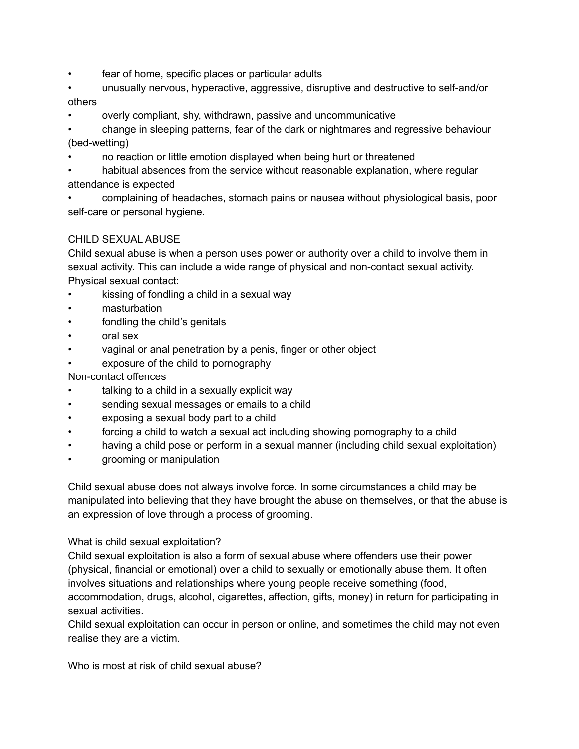- fear of home, specific places or particular adults
- unusually nervous, hyperactive, aggressive, disruptive and destructive to self-and/or others
- overly compliant, shy, withdrawn, passive and uncommunicative
- change in sleeping patterns, fear of the dark or nightmares and regressive behaviour (bed-wetting)
- no reaction or little emotion displayed when being hurt or threatened
- habitual absences from the service without reasonable explanation, where regular attendance is expected
- complaining of headaches, stomach pains or nausea without physiological basis, poor self-care or personal hygiene.

## CHILD SEXUAL ABUSE

Child sexual abuse is when a person uses power or authority over a child to involve them in sexual activity. This can include a wide range of physical and non-contact sexual activity. Physical sexual contact:

- kissing of fondling a child in a sexual way
- masturbation
- fondling the child's genitals
- oral sex
- vaginal or anal penetration by a penis, finger or other object
- exposure of the child to pornography

Non-contact offences

- talking to a child in a sexually explicit way
- sending sexual messages or emails to a child
- exposing a sexual body part to a child
- forcing a child to watch a sexual act including showing pornography to a child
- having a child pose or perform in a sexual manner (including child sexual exploitation)
- grooming or manipulation

Child sexual abuse does not always involve force. In some circumstances a child may be manipulated into believing that they have brought the abuse on themselves, or that the abuse is an expression of love through a process of grooming.

### What is child sexual exploitation?

Child sexual exploitation is also a form of sexual abuse where offenders use their power (physical, financial or emotional) over a child to sexually or emotionally abuse them. It often involves situations and relationships where young people receive something (food, accommodation, drugs, alcohol, cigarettes, affection, gifts, money) in return for participating in sexual activities.

Child sexual exploitation can occur in person or online, and sometimes the child may not even realise they are a victim.

Who is most at risk of child sexual abuse?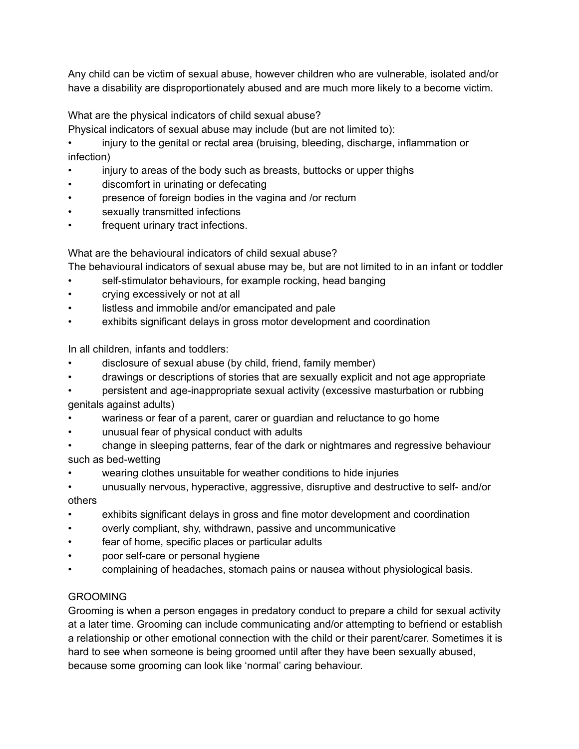Any child can be victim of sexual abuse, however children who are vulnerable, isolated and/or have a disability are disproportionately abused and are much more likely to a become victim.

What are the physical indicators of child sexual abuse?

Physical indicators of sexual abuse may include (but are not limited to):

• injury to the genital or rectal area (bruising, bleeding, discharge, inflammation or infection)

- injury to areas of the body such as breasts, buttocks or upper thighs
- discomfort in urinating or defecating
- presence of foreign bodies in the vagina and /or rectum
- sexually transmitted infections
- frequent urinary tract infections.

What are the behavioural indicators of child sexual abuse?

The behavioural indicators of sexual abuse may be, but are not limited to in an infant or toddler

- self-stimulator behaviours, for example rocking, head banging
- crying excessively or not at all
- listless and immobile and/or emancipated and pale
- exhibits significant delays in gross motor development and coordination

In all children, infants and toddlers:

- disclosure of sexual abuse (by child, friend, family member)
- drawings or descriptions of stories that are sexually explicit and not age appropriate
- persistent and age-inappropriate sexual activity (excessive masturbation or rubbing genitals against adults)
- wariness or fear of a parent, carer or guardian and reluctance to go home
- unusual fear of physical conduct with adults
- change in sleeping patterns, fear of the dark or nightmares and regressive behaviour such as bed-wetting
- wearing clothes unsuitable for weather conditions to hide injuries
- unusually nervous, hyperactive, aggressive, disruptive and destructive to self- and/or others
- exhibits significant delays in gross and fine motor development and coordination
- overly compliant, shy, withdrawn, passive and uncommunicative
- fear of home, specific places or particular adults
- poor self-care or personal hygiene
- complaining of headaches, stomach pains or nausea without physiological basis.

## GROOMING

Grooming is when a person engages in predatory conduct to prepare a child for sexual activity at a later time. Grooming can include communicating and/or attempting to befriend or establish a relationship or other emotional connection with the child or their parent/carer. Sometimes it is hard to see when someone is being groomed until after they have been sexually abused, because some grooming can look like 'normal' caring behaviour.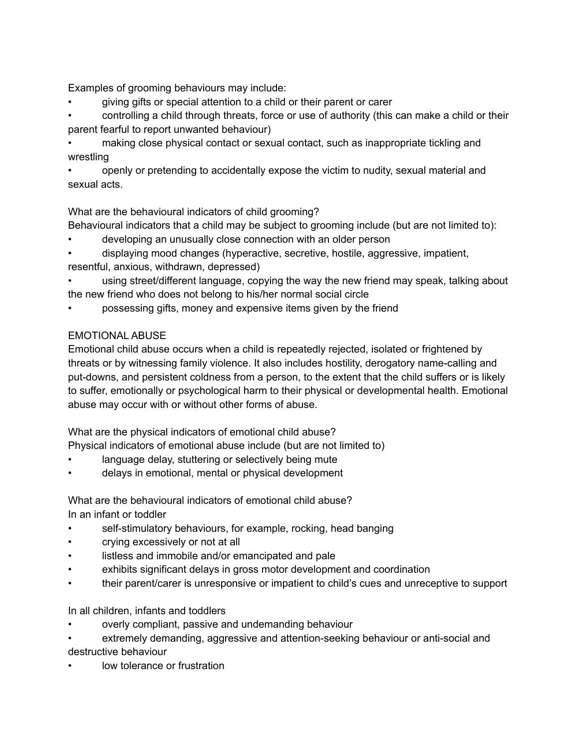Examples of grooming behaviours may include:

• giving gifts or special attention to a child or their parent or carer

• controlling a child through threats, force or use of authority (this can make a child or their parent fearful to report unwanted behaviour)

• making close physical contact or sexual contact, such as inappropriate tickling and wrestling

• openly or pretending to accidentally expose the victim to nudity, sexual material and sexual acts.

What are the behavioural indicators of child grooming?

Behavioural indicators that a child may be subject to grooming include (but are not limited to):

- developing an unusually close connection with an older person
- displaying mood changes (hyperactive, secretive, hostile, aggressive, impatient, resentful, anxious, withdrawn, depressed)

using street/different language, copying the way the new friend may speak, talking about the new friend who does not belong to his/her normal social circle

• possessing gifts, money and expensive items given by the friend

## EMOTIONAL ABUSE

Emotional child abuse occurs when a child is repeatedly rejected, isolated or frightened by threats or by witnessing family violence. It also includes hostility, derogatory name-calling and put-downs, and persistent coldness from a person, to the extent that the child suffers or is likely to suffer, emotionally or psychological harm to their physical or developmental health. Emotional abuse may occur with or without other forms of abuse.

What are the physical indicators of emotional child abuse?

Physical indicators of emotional abuse include (but are not limited to)

- language delay, stuttering or selectively being mute
- delays in emotional, mental or physical development

What are the behavioural indicators of emotional child abuse? In an infant or toddler

- self-stimulatory behaviours, for example, rocking, head banging
- crying excessively or not at all
- listless and immobile and/or emancipated and pale
- exhibits significant delays in gross motor development and coordination
- their parent/carer is unresponsive or impatient to child's cues and unreceptive to support

In all children, infants and toddlers

- overly compliant, passive and undemanding behaviour
- extremely demanding, aggressive and attention-seeking behaviour or anti-social and destructive behaviour
- low tolerance or frustration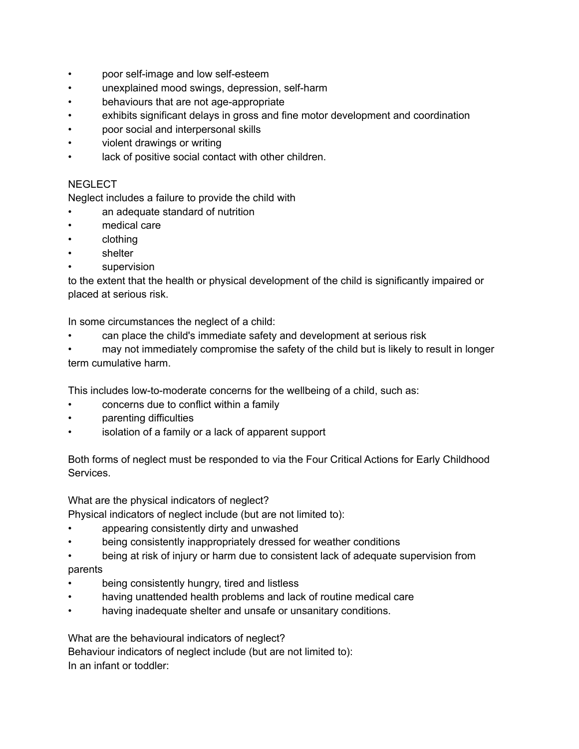- poor self-image and low self-esteem
- unexplained mood swings, depression, self-harm
- behaviours that are not age-appropriate
- exhibits significant delays in gross and fine motor development and coordination
- poor social and interpersonal skills
- violent drawings or writing
- lack of positive social contact with other children.

## **NEGLECT**

Neglect includes a failure to provide the child with

- an adequate standard of nutrition
- medical care
- clothing
- shelter
- supervision

to the extent that the health or physical development of the child is significantly impaired or placed at serious risk.

In some circumstances the neglect of a child:

- can place the child's immediate safety and development at serious risk
- may not immediately compromise the safety of the child but is likely to result in longer term cumulative harm.

This includes low-to-moderate concerns for the wellbeing of a child, such as:

- concerns due to conflict within a family
- parenting difficulties
- isolation of a family or a lack of apparent support

Both forms of neglect must be responded to via the Four Critical Actions for Early Childhood Services.

What are the physical indicators of neglect?

Physical indicators of neglect include (but are not limited to):

- appearing consistently dirty and unwashed
- being consistently inappropriately dressed for weather conditions
- being at risk of injury or harm due to consistent lack of adequate supervision from parents
- being consistently hungry, tired and listless
- having unattended health problems and lack of routine medical care
- having inadequate shelter and unsafe or unsanitary conditions.

What are the behavioural indicators of neglect? Behaviour indicators of neglect include (but are not limited to): In an infant or toddler: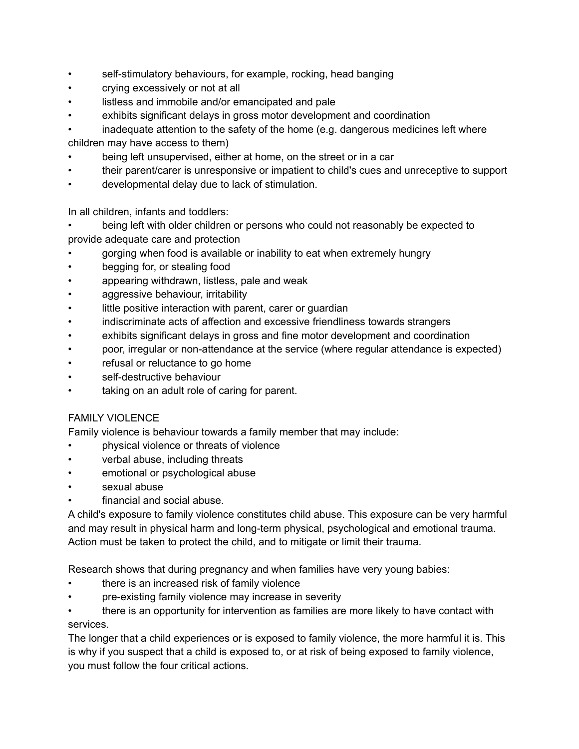- self-stimulatory behaviours, for example, rocking, head banging
- crying excessively or not at all
- listless and immobile and/or emancipated and pale
- exhibits significant delays in gross motor development and coordination

inadequate attention to the safety of the home (e.g. dangerous medicines left where children may have access to them)

- being left unsupervised, either at home, on the street or in a car
- their parent/carer is unresponsive or impatient to child's cues and unreceptive to support
- developmental delay due to lack of stimulation.

In all children, infants and toddlers:

• being left with older children or persons who could not reasonably be expected to provide adequate care and protection

- gorging when food is available or inability to eat when extremely hungry
- begging for, or stealing food
- appearing withdrawn, listless, pale and weak
- aggressive behaviour, irritability
- little positive interaction with parent, carer or guardian
- indiscriminate acts of affection and excessive friendliness towards strangers
- exhibits significant delays in gross and fine motor development and coordination
- poor, irregular or non-attendance at the service (where regular attendance is expected)
- refusal or reluctance to go home
- self-destructive behaviour
- taking on an adult role of caring for parent.

## FAMILY VIOLENCE

Family violence is behaviour towards a family member that may include:

- physical violence or threats of violence
- verbal abuse, including threats
- emotional or psychological abuse
- sexual abuse
- financial and social abuse.

A child's exposure to family violence constitutes child abuse. This exposure can be very harmful and may result in physical harm and long-term physical, psychological and emotional trauma. Action must be taken to protect the child, and to mitigate or limit their trauma.

Research shows that during pregnancy and when families have very young babies:

- there is an increased risk of family violence
- pre-existing family violence may increase in severity

• there is an opportunity for intervention as families are more likely to have contact with services.

The longer that a child experiences or is exposed to family violence, the more harmful it is. This is why if you suspect that a child is exposed to, or at risk of being exposed to family violence, you must follow the four critical actions.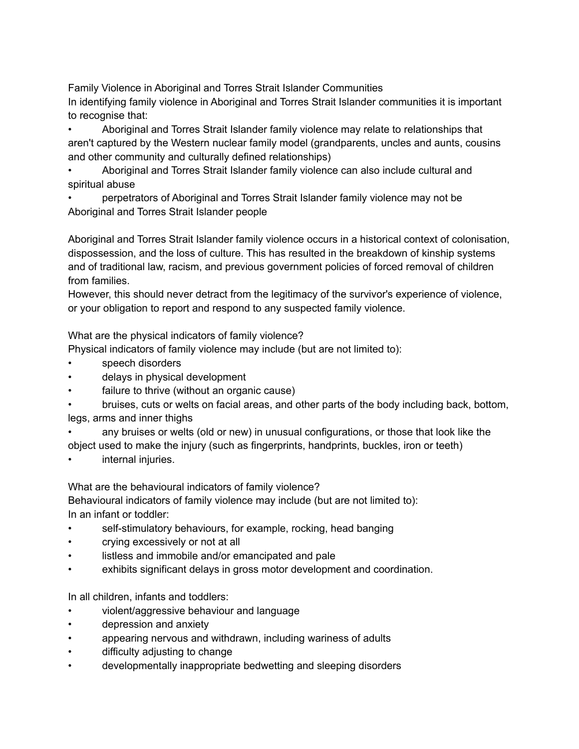Family Violence in Aboriginal and Torres Strait Islander Communities

In identifying family violence in Aboriginal and Torres Strait Islander communities it is important to recognise that:

• Aboriginal and Torres Strait Islander family violence may relate to relationships that aren't captured by the Western nuclear family model (grandparents, uncles and aunts, cousins and other community and culturally defined relationships)

• Aboriginal and Torres Strait Islander family violence can also include cultural and spiritual abuse

• perpetrators of Aboriginal and Torres Strait Islander family violence may not be Aboriginal and Torres Strait Islander people

Aboriginal and Torres Strait Islander family violence occurs in a historical context of colonisation, dispossession, and the loss of culture. This has resulted in the breakdown of kinship systems and of traditional law, racism, and previous government policies of forced removal of children from families.

However, this should never detract from the legitimacy of the survivor's experience of violence, or your obligation to report and respond to any suspected family violence.

What are the physical indicators of family violence?

Physical indicators of family violence may include (but are not limited to):

- speech disorders
- delays in physical development
- failure to thrive (without an organic cause)

• bruises, cuts or welts on facial areas, and other parts of the body including back, bottom, legs, arms and inner thighs

- any bruises or welts (old or new) in unusual configurations, or those that look like the object used to make the injury (such as fingerprints, handprints, buckles, iron or teeth)
- internal injuries.

What are the behavioural indicators of family violence?

Behavioural indicators of family violence may include (but are not limited to): In an infant or toddler:

- self-stimulatory behaviours, for example, rocking, head banging
- crying excessively or not at all
- listless and immobile and/or emancipated and pale
- exhibits significant delays in gross motor development and coordination.

In all children, infants and toddlers:

- violent/aggressive behaviour and language
- depression and anxiety
- appearing nervous and withdrawn, including wariness of adults
- difficulty adjusting to change
- developmentally inappropriate bedwetting and sleeping disorders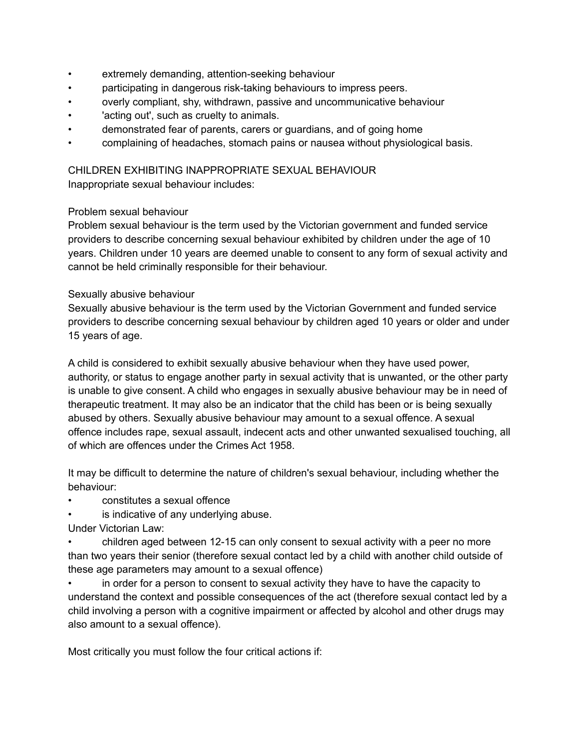- extremely demanding, attention-seeking behaviour
- participating in dangerous risk-taking behaviours to impress peers.
- overly compliant, shy, withdrawn, passive and uncommunicative behaviour
- 'acting out', such as cruelty to animals.
- demonstrated fear of parents, carers or guardians, and of going home
- complaining of headaches, stomach pains or nausea without physiological basis.

CHILDREN EXHIBITING INAPPROPRIATE SEXUAL BEHAVIOUR Inappropriate sexual behaviour includes:

### Problem sexual behaviour

Problem sexual behaviour is the term used by the Victorian government and funded service providers to describe concerning sexual behaviour exhibited by children under the age of 10 years. Children under 10 years are deemed unable to consent to any form of sexual activity and cannot be held criminally responsible for their behaviour.

### Sexually abusive behaviour

Sexually abusive behaviour is the term used by the Victorian Government and funded service providers to describe concerning sexual behaviour by children aged 10 years or older and under 15 years of age.

A child is considered to exhibit sexually abusive behaviour when they have used power, authority, or status to engage another party in sexual activity that is unwanted, or the other party is unable to give consent. A child who engages in sexually abusive behaviour may be in need of therapeutic treatment. It may also be an indicator that the child has been or is being sexually abused by others. Sexually abusive behaviour may amount to a sexual offence. A sexual offence includes rape, sexual assault, indecent acts and other unwanted sexualised touching, all of which are offences under the Crimes Act 1958.

It may be difficult to determine the nature of children's sexual behaviour, including whether the behaviour:

- constitutes a sexual offence
- is indicative of any underlying abuse.
- Under Victorian Law:
- children aged between 12-15 can only consent to sexual activity with a peer no more than two years their senior (therefore sexual contact led by a child with another child outside of these age parameters may amount to a sexual offence)

• in order for a person to consent to sexual activity they have to have the capacity to understand the context and possible consequences of the act (therefore sexual contact led by a child involving a person with a cognitive impairment or affected by alcohol and other drugs may also amount to a sexual offence).

Most critically you must follow the four critical actions if: